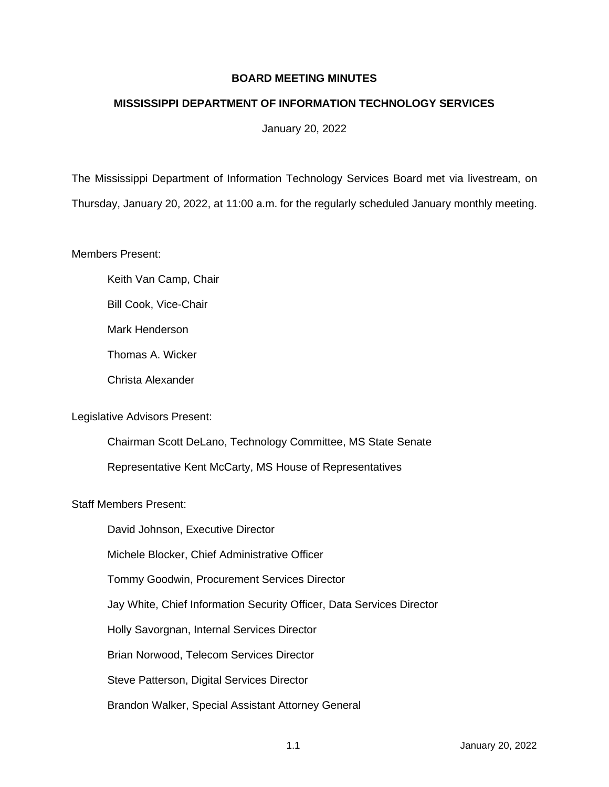# **BOARD MEETING MINUTES**

# **MISSISSIPPI DEPARTMENT OF INFORMATION TECHNOLOGY SERVICES**

January 20, 2022

The Mississippi Department of Information Technology Services Board met via livestream, on Thursday, January 20, 2022, at 11:00 a.m. for the regularly scheduled January monthly meeting.

Members Present:

- Keith Van Camp, Chair
- Bill Cook, Vice-Chair
- Mark Henderson
- Thomas A. Wicker
- Christa Alexander

## Legislative Advisors Present:

Chairman Scott DeLano, Technology Committee, MS State Senate Representative Kent McCarty, MS House of Representatives

## Staff Members Present:

David Johnson, Executive Director

Michele Blocker, Chief Administrative Officer

Tommy Goodwin, Procurement Services Director

Jay White, Chief Information Security Officer, Data Services Director

Holly Savorgnan, Internal Services Director

Brian Norwood, Telecom Services Director

Steve Patterson, Digital Services Director

Brandon Walker, Special Assistant Attorney General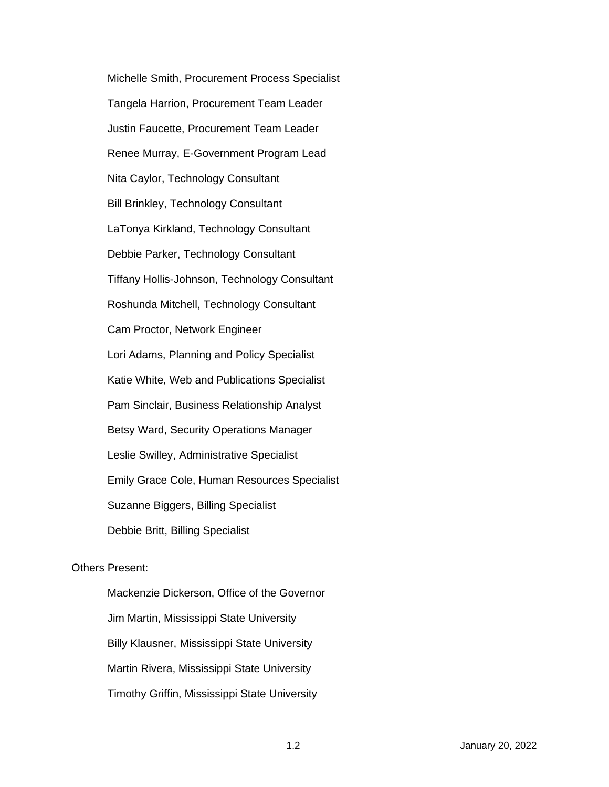Michelle Smith, Procurement Process Specialist Tangela Harrion, Procurement Team Leader Justin Faucette, Procurement Team Leader Renee Murray, E-Government Program Lead Nita Caylor, Technology Consultant Bill Brinkley, Technology Consultant LaTonya Kirkland, Technology Consultant Debbie Parker, Technology Consultant Tiffany Hollis-Johnson, Technology Consultant Roshunda Mitchell, Technology Consultant Cam Proctor, Network Engineer Lori Adams, Planning and Policy Specialist Katie White, Web and Publications Specialist Pam Sinclair, Business Relationship Analyst Betsy Ward, Security Operations Manager Leslie Swilley, Administrative Specialist Emily Grace Cole, Human Resources Specialist Suzanne Biggers, Billing Specialist Debbie Britt, Billing Specialist

## Others Present:

Mackenzie Dickerson, Office of the Governor Jim Martin, Mississippi State University Billy Klausner, Mississippi State University Martin Rivera, Mississippi State University Timothy Griffin, Mississippi State University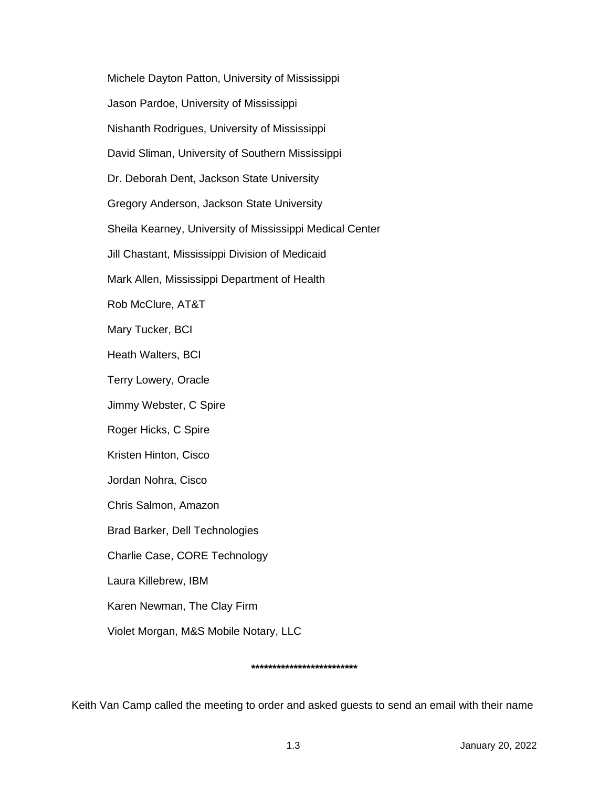Michele Dayton Patton, University of Mississippi Jason Pardoe, University of Mississippi Nishanth Rodrigues, University of Mississippi David Sliman, University of Southern Mississippi Dr. Deborah Dent, Jackson State University Gregory Anderson, Jackson State University Sheila Kearney, University of Mississippi Medical Center Jill Chastant, Mississippi Division of Medicaid Mark Allen, Mississippi Department of Health Rob McClure, AT&T Mary Tucker, BCI Heath Walters, BCI Terry Lowery, Oracle Jimmy Webster, C Spire Roger Hicks, C Spire Kristen Hinton, Cisco Jordan Nohra, Cisco Chris Salmon, Amazon Brad Barker, Dell Technologies Charlie Case, CORE Technology Laura Killebrew, IBM Karen Newman, The Clay Firm Violet Morgan, M&S Mobile Notary, LLC

#### **\*\*\*\*\*\*\*\*\*\*\*\*\*\*\*\*\*\*\*\*\*\*\*\*\***

Keith Van Camp called the meeting to order and asked guests to send an email with their name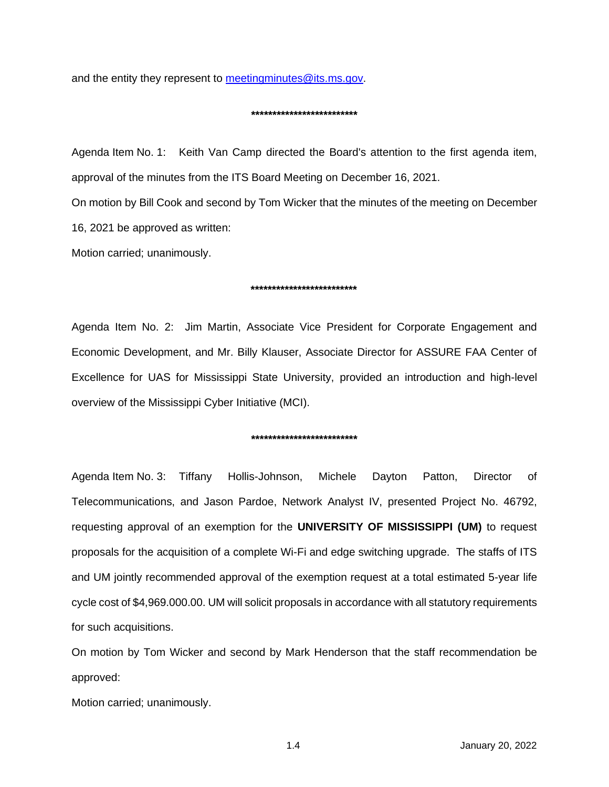and the entity they represent to [meetingminutes@its.ms.gov.](mailto:meetingminutes@its.ms.gov)

#### **\*\*\*\*\*\*\*\*\*\*\*\*\*\*\*\*\*\*\*\*\*\*\*\*\***

Agenda Item No. 1: Keith Van Camp directed the Board's attention to the first agenda item, approval of the minutes from the ITS Board Meeting on December 16, 2021.

On motion by Bill Cook and second by Tom Wicker that the minutes of the meeting on December 16, 2021 be approved as written:

Motion carried; unanimously.

#### **\*\*\*\*\*\*\*\*\*\*\*\*\*\*\*\*\*\*\*\*\*\*\*\*\***

Agenda Item No. 2: Jim Martin, Associate Vice President for Corporate Engagement and Economic Development, and Mr. Billy Klauser, Associate Director for ASSURE FAA Center of Excellence for UAS for Mississippi State University, provided an introduction and high-level overview of the Mississippi Cyber Initiative (MCI).

#### **\*\*\*\*\*\*\*\*\*\*\*\*\*\*\*\*\*\*\*\*\*\*\*\*\***

Agenda Item No. 3: Tiffany Hollis-Johnson, Michele Dayton Patton, Director of Telecommunications, and Jason Pardoe, Network Analyst IV, presented Project No. 46792, requesting approval of an exemption for the **UNIVERSITY OF MISSISSIPPI (UM)** to request proposals for the acquisition of a complete Wi-Fi and edge switching upgrade. The staffs of ITS and UM jointly recommended approval of the exemption request at a total estimated 5-year life cycle cost of \$4,969.000.00. UM will solicit proposals in accordance with all statutory requirements for such acquisitions.

On motion by Tom Wicker and second by Mark Henderson that the staff recommendation be approved:

Motion carried; unanimously.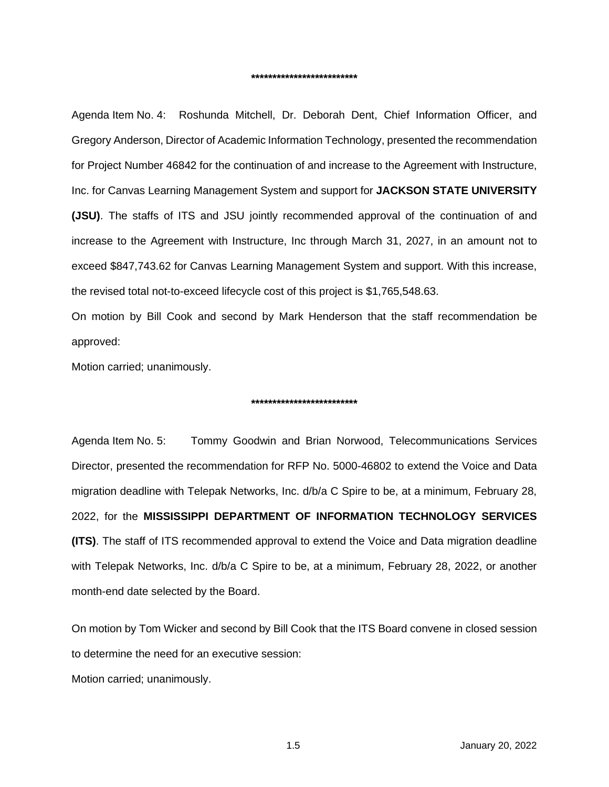Agenda Item No. 4: Roshunda Mitchell, Dr. Deborah Dent, Chief Information Officer, and Gregory Anderson, Director of Academic Information Technology, presented the recommendation for Project Number 46842 for the continuation of and increase to the Agreement with Instructure, Inc. for Canvas Learning Management System and support for **JACKSON STATE UNIVERSITY (JSU)**. The staffs of ITS and JSU jointly recommended approval of the continuation of and increase to the Agreement with Instructure, Inc through March 31, 2027, in an amount not to exceed \$847,743.62 for Canvas Learning Management System and support. With this increase, the revised total not-to-exceed lifecycle cost of this project is \$1,765,548.63.

On motion by Bill Cook and second by Mark Henderson that the staff recommendation be approved:

Motion carried; unanimously.

#### **\*\*\*\*\*\*\*\*\*\*\*\*\*\*\*\*\*\*\*\*\*\*\*\*\***

Agenda Item No. 5: Tommy Goodwin and Brian Norwood, Telecommunications Services Director, presented the recommendation for RFP No. 5000-46802 to extend the Voice and Data migration deadline with Telepak Networks, Inc. d/b/a C Spire to be, at a minimum, February 28, 2022, for the **MISSISSIPPI DEPARTMENT OF INFORMATION TECHNOLOGY SERVICES (ITS)**. The staff of ITS recommended approval to extend the Voice and Data migration deadline with Telepak Networks, Inc. d/b/a C Spire to be, at a minimum, February 28, 2022, or another month-end date selected by the Board.

On motion by Tom Wicker and second by Bill Cook that the ITS Board convene in closed session to determine the need for an executive session:

Motion carried; unanimously.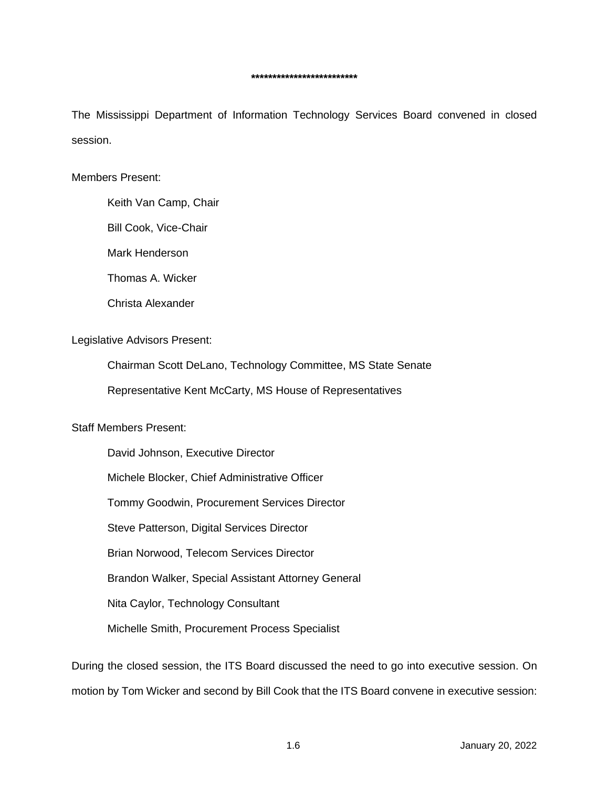The Mississippi Department of Information Technology Services Board convened in closed session.

## Members Present:

Keith Van Camp, Chair

Bill Cook, Vice-Chair

Mark Henderson

Thomas A. Wicker

Christa Alexander

#### Legislative Advisors Present:

Chairman Scott DeLano, Technology Committee, MS State Senate

Representative Kent McCarty, MS House of Representatives

# Staff Members Present:

David Johnson, Executive Director Michele Blocker, Chief Administrative Officer Tommy Goodwin, Procurement Services Director Steve Patterson, Digital Services Director Brian Norwood, Telecom Services Director Brandon Walker, Special Assistant Attorney General Nita Caylor, Technology Consultant Michelle Smith, Procurement Process Specialist

During the closed session, the ITS Board discussed the need to go into executive session. On motion by Tom Wicker and second by Bill Cook that the ITS Board convene in executive session: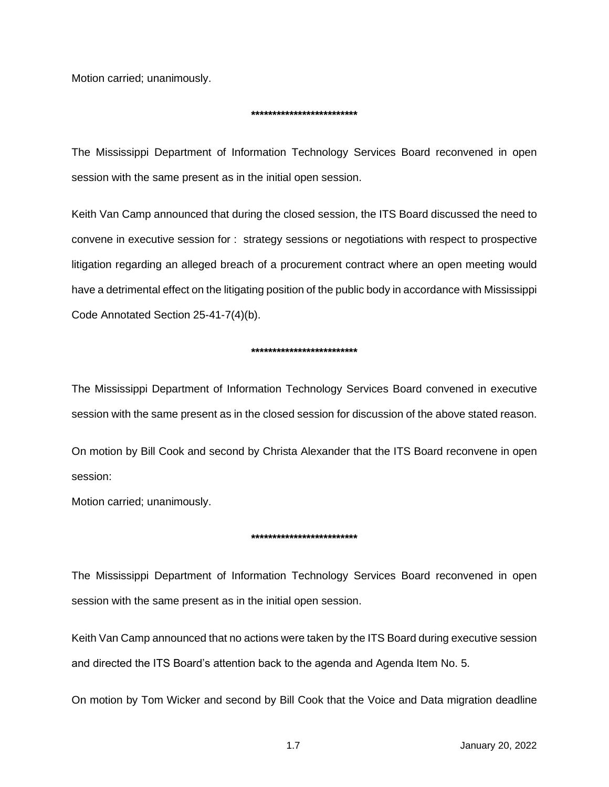Motion carried; unanimously.

#### **\*\*\*\*\*\*\*\*\*\*\*\*\*\*\*\*\*\*\*\*\*\*\*\*\***

The Mississippi Department of Information Technology Services Board reconvened in open session with the same present as in the initial open session.

Keith Van Camp announced that during the closed session, the ITS Board discussed the need to convene in executive session for : strategy sessions or negotiations with respect to prospective litigation regarding an alleged breach of a procurement contract where an open meeting would have a detrimental effect on the litigating position of the public body in accordance with Mississippi Code Annotated Section 25-41-7(4)(b).

## **\*\*\*\*\*\*\*\*\*\*\*\*\*\*\*\*\*\*\*\*\*\*\*\*\***

The Mississippi Department of Information Technology Services Board convened in executive session with the same present as in the closed session for discussion of the above stated reason.

On motion by Bill Cook and second by Christa Alexander that the ITS Board reconvene in open session:

Motion carried; unanimously.

## **\*\*\*\*\*\*\*\*\*\*\*\*\*\*\*\*\*\*\*\*\*\*\*\*\***

The Mississippi Department of Information Technology Services Board reconvened in open session with the same present as in the initial open session.

Keith Van Camp announced that no actions were taken by the ITS Board during executive session and directed the ITS Board's attention back to the agenda and Agenda Item No. 5.

On motion by Tom Wicker and second by Bill Cook that the Voice and Data migration deadline